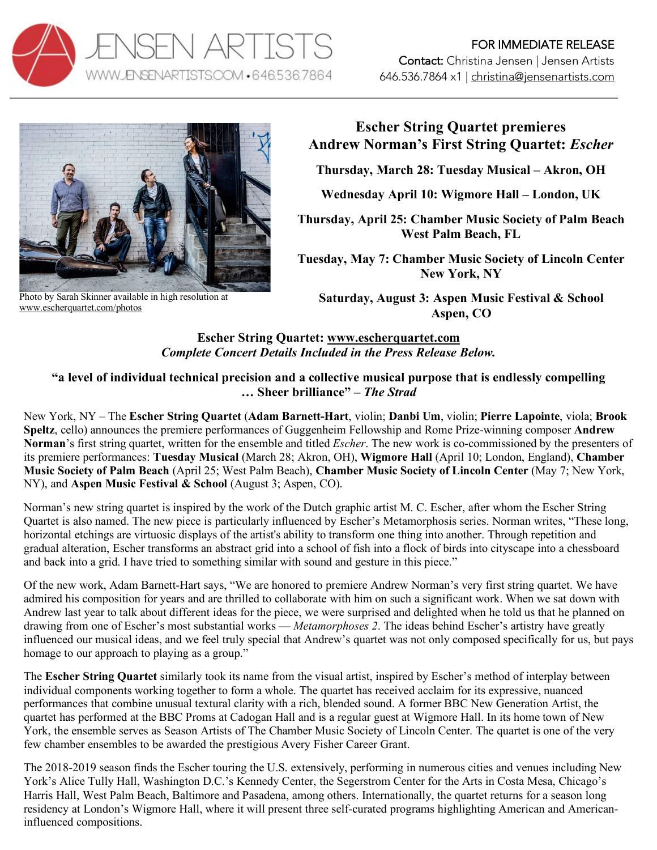



Photo by Sarah Skinner available in high resolution at www.escherquartet.com/photos

# **Escher String Quartet premieres Andrew Norman's First String Quartet:** *Escher*

**Thursday, March 28: Tuesday Musical – Akron, OH**

**Wednesday April 10: Wigmore Hall – London, UK**

**Thursday, April 25: Chamber Music Society of Palm Beach West Palm Beach, FL**

**Tuesday, May 7: Chamber Music Society of Lincoln Center New York, NY**

**Saturday, August 3: Aspen Music Festival & School Aspen, CO**

# **Escher String Quartet: www.escherquartet.com**  *Complete Concert Details Included in the Press Release Below.*

## **"a level of individual technical precision and a collective musical purpose that is endlessly compelling … Sheer brilliance" –** *The Strad*

New York, NY – The **Escher String Quartet** (**Adam Barnett-Hart**, violin; **Danbi Um**, violin; **Pierre Lapointe**, viola; **Brook Speltz**, cello) announces the premiere performances of Guggenheim Fellowship and Rome Prize-winning composer **Andrew Norman**'s first string quartet, written for the ensemble and titled *Escher*. The new work is co-commissioned by the presenters of its premiere performances: **Tuesday Musical** (March 28; Akron, OH), **Wigmore Hall** (April 10; London, England), **Chamber Music Society of Palm Beach** (April 25; West Palm Beach), **Chamber Music Society of Lincoln Center** (May 7; New York, NY), and **Aspen Music Festival & School** (August 3; Aspen, CO).

Norman's new string quartet is inspired by the work of the Dutch graphic artist M. C. Escher, after whom the Escher String Quartet is also named. The new piece is particularly influenced by Escher's Metamorphosis series. Norman writes, "These long, horizontal etchings are virtuosic displays of the artist's ability to transform one thing into another. Through repetition and gradual alteration, Escher transforms an abstract grid into a school of fish into a flock of birds into cityscape into a chessboard and back into a grid. I have tried to something similar with sound and gesture in this piece."

Of the new work, Adam Barnett-Hart says, "We are honored to premiere Andrew Norman's very first string quartet. We have admired his composition for years and are thrilled to collaborate with him on such a significant work. When we sat down with Andrew last year to talk about different ideas for the piece, we were surprised and delighted when he told us that he planned on drawing from one of Escher's most substantial works — *Metamorphoses 2*. The ideas behind Escher's artistry have greatly influenced our musical ideas, and we feel truly special that Andrew's quartet was not only composed specifically for us, but pays homage to our approach to playing as a group."

The **Escher String Quartet** similarly took its name from the visual artist, inspired by Escher's method of interplay between individual components working together to form a whole. The quartet has received acclaim for its expressive, nuanced performances that combine unusual textural clarity with a rich, blended sound. A former BBC New Generation Artist, the quartet has performed at the BBC Proms at Cadogan Hall and is a regular guest at Wigmore Hall. In its home town of New York, the ensemble serves as Season Artists of The Chamber Music Society of Lincoln Center. The quartet is one of the very few chamber ensembles to be awarded the prestigious Avery Fisher Career Grant.

The 2018-2019 season finds the Escher touring the U.S. extensively, performing in numerous cities and venues including New York's Alice Tully Hall, Washington D.C.'s Kennedy Center, the Segerstrom Center for the Arts in Costa Mesa, Chicago's Harris Hall, West Palm Beach, Baltimore and Pasadena, among others. Internationally, the quartet returns for a season long residency at London's Wigmore Hall, where it will present three self-curated programs highlighting American and Americaninfluenced compositions.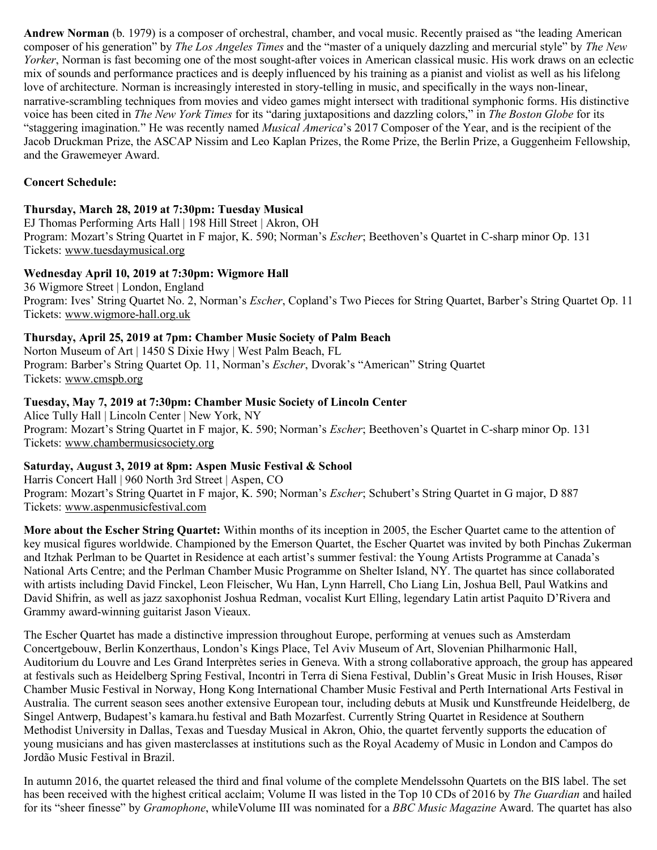**Andrew Norman** (b. 1979) is a composer of orchestral, chamber, and vocal music. Recently praised as "the leading American composer of his generation" by *The Los Angeles Times* and the "master of a uniquely dazzling and mercurial style" by *The New Yorker*, Norman is fast becoming one of the most sought-after voices in American classical music. His work draws on an eclectic mix of sounds and performance practices and is deeply influenced by his training as a pianist and violist as well as his lifelong love of architecture. Norman is increasingly interested in story-telling in music, and specifically in the ways non-linear, narrative-scrambling techniques from movies and video games might intersect with traditional symphonic forms. His distinctive voice has been cited in *The New York Times* for its "daring juxtapositions and dazzling colors," in *The Boston Globe* for its "staggering imagination." He was recently named *Musical America*'s 2017 Composer of the Year, and is the recipient of the Jacob Druckman Prize, the ASCAP Nissim and Leo Kaplan Prizes, the Rome Prize, the Berlin Prize, a Guggenheim Fellowship, and the Grawemeyer Award.

#### **Concert Schedule:**

#### **Thursday, March 28, 2019 at 7:30pm: Tuesday Musical**

EJ Thomas Performing Arts Hall | 198 Hill Street | Akron, OH Program: Mozart's String Quartet in F major, K. 590; Norman's *Escher*; Beethoven's Quartet in C-sharp minor Op. 131 Tickets: www.tuesdaymusical.org

#### **Wednesday April 10, 2019 at 7:30pm: Wigmore Hall**

36 Wigmore Street | London, England Program: Ives' String Quartet No. 2, Norman's *Escher*, Copland's Two Pieces for String Quartet, Barber's String Quartet Op. 11 Tickets: www.wigmore-hall.org.uk

#### **Thursday, April 25, 2019 at 7pm: Chamber Music Society of Palm Beach**

Norton Museum of Art | 1450 S Dixie Hwy | West Palm Beach, FL Program: Barber's String Quartet Op. 11, Norman's *Escher*, Dvorak's "American" String Quartet Tickets: www.cmspb.org

#### **Tuesday, May 7, 2019 at 7:30pm: Chamber Music Society of Lincoln Center**

Alice Tully Hall | Lincoln Center | New York, NY Program: Mozart's String Quartet in F major, K. 590; Norman's *Escher*; Beethoven's Quartet in C-sharp minor Op. 131 Tickets: www.chambermusicsociety.org

### **Saturday, August 3, 2019 at 8pm: Aspen Music Festival & School**

Harris Concert Hall | 960 North 3rd Street | Aspen, CO Program: Mozart's String Quartet in F major, K. 590; Norman's *Escher*; Schubert's String Quartet in G major, D 887 Tickets: www.aspenmusicfestival.com

**More about the Escher String Quartet:** Within months of its inception in 2005, the Escher Quartet came to the attention of key musical figures worldwide. Championed by the Emerson Quartet, the Escher Quartet was invited by both Pinchas Zukerman and Itzhak Perlman to be Quartet in Residence at each artist's summer festival: the Young Artists Programme at Canada's National Arts Centre; and the Perlman Chamber Music Programme on Shelter Island, NY. The quartet has since collaborated with artists including David Finckel, Leon Fleischer, Wu Han, Lynn Harrell, Cho Liang Lin, Joshua Bell, Paul Watkins and David Shifrin, as well as jazz saxophonist Joshua Redman, vocalist Kurt Elling, legendary Latin artist Paquito D'Rivera and Grammy award-winning guitarist Jason Vieaux.

The Escher Quartet has made a distinctive impression throughout Europe, performing at venues such as Amsterdam Concertgebouw, Berlin Konzerthaus, London's Kings Place, Tel Aviv Museum of Art, Slovenian Philharmonic Hall, Auditorium du Louvre and Les Grand Interprètes series in Geneva. With a strong collaborative approach, the group has appeared at festivals such as Heidelberg Spring Festival, Incontri in Terra di Siena Festival, Dublin's Great Music in Irish Houses, Risør Chamber Music Festival in Norway, Hong Kong International Chamber Music Festival and Perth International Arts Festival in Australia. The current season sees another extensive European tour, including debuts at Musik und Kunstfreunde Heidelberg, de Singel Antwerp, Budapest's kamara.hu festival and Bath Mozarfest. Currently String Quartet in Residence at Southern Methodist University in Dallas, Texas and Tuesday Musical in Akron, Ohio, the quartet fervently supports the education of young musicians and has given masterclasses at institutions such as the Royal Academy of Music in London and Campos do Jordão Music Festival in Brazil.

In autumn 2016, the quartet released the third and final volume of the complete Mendelssohn Quartets on the BIS label. The set has been received with the highest critical acclaim; Volume II was listed in the Top 10 CDs of 2016 by *The Guardian* and hailed for its "sheer finesse" by *Gramophone*, whileVolume III was nominated for a *BBC Music Magazine* Award. The quartet has also